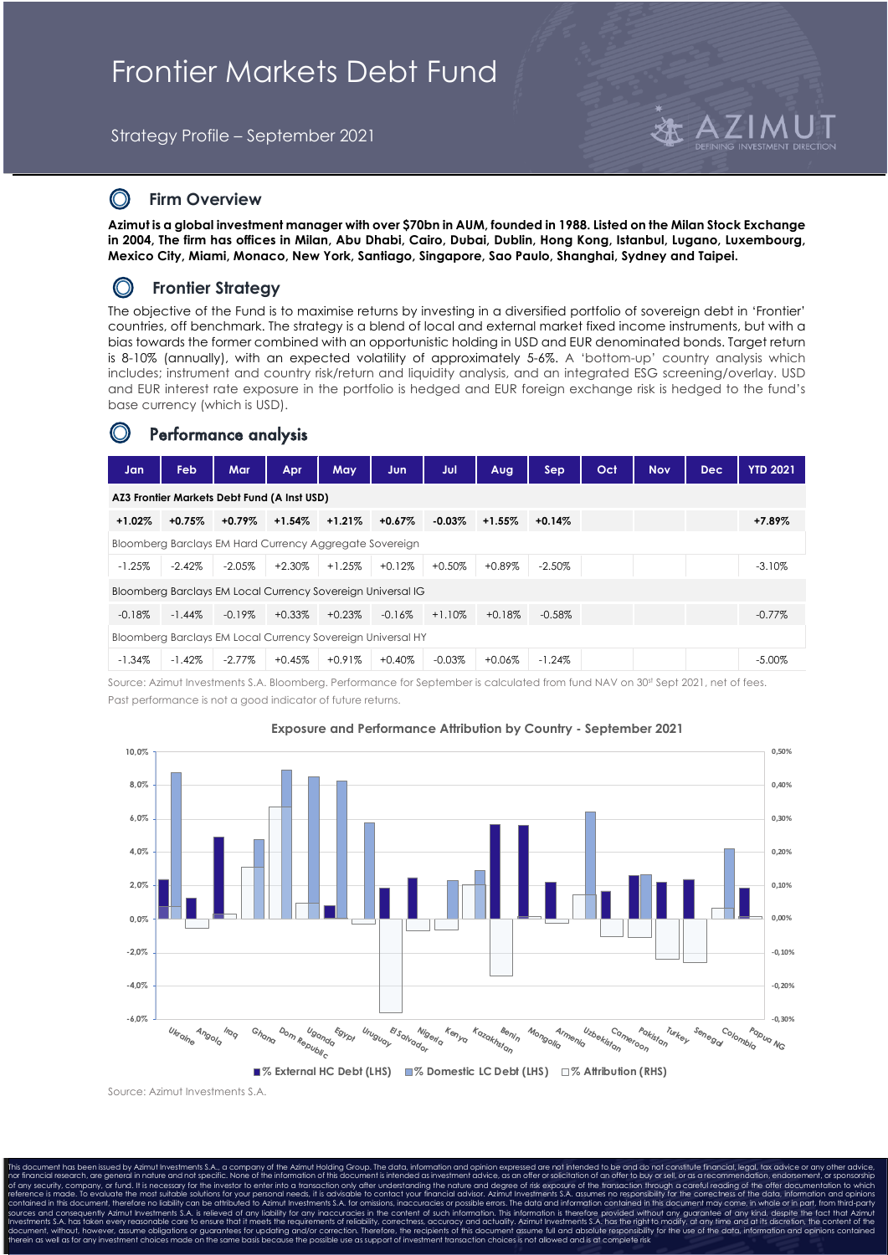# Frontier Markets Debt Fund

Strategy Profile – September 2021

### $\bigcirc$ **Firm Overview**

**Azimut is a global investment manager with over \$70bn in AUM, founded in 1988. Listed on the Milan Stock Exchange in 2004, The firm has offices in Milan, Abu Dhabi, Cairo, Dubai, Dublin, Hong Kong, Istanbul, Lugano, Luxembourg, Mexico City, Miami, Monaco, New York, Santiago, Singapore, Sao Paulo, Shanghai, Sydney and Taipei.**

### $\bigcirc$ **Frontier Strategy**

The objective of the Fund is to maximise returns by investing in a diversified portfolio of sovereign debt in 'Frontier' countries, off benchmark. The strategy is a blend of local and external market fixed income instruments, but with a bias towards the former combined with an opportunistic holding in USD and EUR denominated bonds. Target return is 8-10% (annually), with an expected volatility of approximately 5-6%. A 'bottom-up' country analysis which includes; instrument and country risk/return and liquidity analysis, and an integrated ESG screening/overlay. USD and EUR interest rate exposure in the portfolio is hedged and EUR foreign exchange risk is hedged to the fund's base currency (which is USD).

## Performance analysis

| Jan                                                         | <b>Feb</b> | Mar       | <b>Apr</b> | May       | Jun       | Jul       | Aug      | <b>Sep</b> | Oct | <b>Nov</b> | <b>Dec</b> | <b>YTD 2021</b> |
|-------------------------------------------------------------|------------|-----------|------------|-----------|-----------|-----------|----------|------------|-----|------------|------------|-----------------|
| AZ3 Frontier Markets Debt Fund (A Inst USD)                 |            |           |            |           |           |           |          |            |     |            |            |                 |
| $+1.02%$                                                    | $+0.75%$   | $+0.79%$  | $+1.54%$   | $+1.21%$  | $+0.67%$  | $-0.03\%$ | $+1.55%$ | $+0.14%$   |     |            |            | $+7.89%$        |
| Bloomberg Barclays EM Hard Currency Aggregate Sovereign     |            |           |            |           |           |           |          |            |     |            |            |                 |
| $-1.25%$                                                    | $-2.42%$   | $-2.05%$  | $+2.30%$   | $+1.25%$  | $+0.12%$  | $+0.50%$  | $+0.89%$ | $-2.50\%$  |     |            |            | $-3.10\%$       |
| Bloomberg Barclays EM Local Currency Sovereign Universal IG |            |           |            |           |           |           |          |            |     |            |            |                 |
| $-0.18%$                                                    | $-1.44\%$  | $-0.19\%$ | $+0.33%$   | $+0.23\%$ | $-0.16\%$ | $+1.10%$  | $+0.18%$ | $-0.58\%$  |     |            |            | $-0.77\%$       |
| Bloomberg Barclays EM Local Currency Sovereign Universal HY |            |           |            |           |           |           |          |            |     |            |            |                 |
| $-1.34%$                                                    | $-1.42%$   | $-2.77\%$ | $+0.45%$   | $+0.91%$  | $+0.40%$  | $-0.03%$  | $+0.06%$ | $-1.24%$   |     |            |            | $-5.00\%$       |

Source: Azimut Investments S.A. Bloomberg. Performance for September is calculated from fund NAV on 30st Sept 2021, net of fees. Past performance is not a good indicator of future returns.



## **Exposure and Performance Attribution by Country - September 2021**

Source: Azimut Investments S.A.

This document has been issued by Azimut Investments S.A., a company of the Azimut Holding Group. The data, information and opinion expressed are not intended to be and do not constitute financial, legal, tax advice or any nor financial research, are general in nature and not specific. None of the information of this document is intended as investment advice, as an offer or solicitation of an offer to buy or sell, or as a recommendation, end of any security, company, or fund. It is necessary for the investor to enter into a transaction only after understanding the nature and degree of risk exposure of the transaction through a careful reading of the offer docu reference is made. To evaluate the most suitable solutions for your personal needs, it is advisable to contact your financial advisor. Azimut Investments S.A. assumes no responsibility for the correctness of the data, info contained in this document, therefore no liability can be attributed to Azimut Investments S.A. for omissions, inaccuracies or possible errors. The data and information contained in this document may come, in whole or in p theories made on the same basis because the possible use as support of investment transaction choices is not allowed and is at complete risk